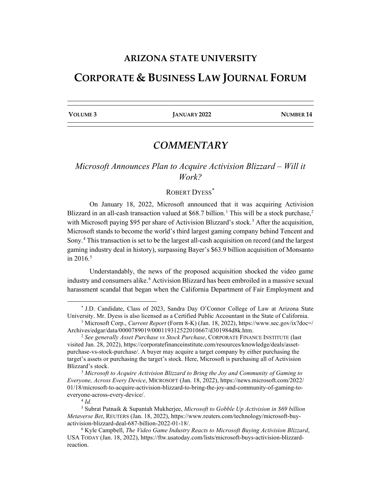### **ARIZONA STATE UNIVERSITY**

## **CORPORATE & BUSINESS LAW JOURNAL FORUM**

**VOLUME 3 JANUARY 2022 NUMBER 14**

# *COMMENTARY*

## *Microsoft Announces Plan to Acquire Activision Blizzard – Will it Work?*

#### ROBERT DYESS<sup>[\\*](#page-0-0)</sup>

On January 18, 2022, Microsoft announced that it was acquiring Activision Blizzard in an all-cash transaction valued at \$68.7 billion.<sup>[1](#page-0-1)</sup> This will be a stock purchase,<sup>[2](#page-0-2)</sup> with Microsoft paying \$95 per share of Activision Blizzard's stock.<sup>[3](#page-0-3)</sup> After the acquisition, Microsoft stands to become the world's third largest gaming company behind Tencent and Sony.[4](#page-0-4) This transaction is set to be the largest all-cash acquisition on record (and the largest gaming industry deal in history), surpassing Bayer's \$63.9 billion acquisition of Monsanto in 2016.<sup>[5](#page-0-5)</sup>

Understandably, the news of the proposed acquisition shocked the video game industry and consumers alike.<sup>[6](#page-0-6)</sup> Activision Blizzard has been embroiled in a massive sexual harassment scandal that began when the California Department of Fair Employment and

<span id="page-0-0"></span><sup>\*</sup> J.D. Candidate, Class of 2023, Sandra Day O'Connor College of Law at Arizona State University. Mr. Dyess is also licensed as a Certified Public Accountant in the State of California.

<span id="page-0-1"></span><sup>&</sup>lt;sup>1</sup> Microsoft Corp., *Current Report* (Form 8-K) (Jan. 18, 2022), https://www.sec.gov/ix?doc=/ Archives/edgar/data/0000789019/000119312522010667/d301984d8k.htm.

<span id="page-0-2"></span><sup>2</sup> *See generally Asset Purchase vs Stock Purchase*, CORPORATE FINANCE INSTITUTE (last visited Jan. 28, 2022), https://corporatefinanceinstitute.com/resources/knowledge/deals/assetpurchase-vs-stock-purchase/. A buyer may acquire a target company by either purchasing the target's assets or purchasing the target's stock. Here, Microsoft is purchasing all of Activision Blizzard's stock.

<span id="page-0-3"></span><sup>3</sup> *Microsoft to Acquire Activision Blizzard to Bring the Joy and Community of Gaming to Everyone, Across Every Device*, MICROSOFT (Jan. 18, 2022), https://news.microsoft.com/2022/ 01/18/microsoft-to-acquire-activision-blizzard-to-bring-the-joy-and-community-of-gaming-toeveryone-across-every-device/.

 $4$   $Id$ .

<span id="page-0-5"></span><span id="page-0-4"></span><sup>5</sup> Subrat Patnaik & Supantah Mukherjee, *Microsoft to Gobble Up Activision in \$69 billion Metaverse Bet*, REUTERS (Jan. 18, 2022), https://www.reuters.com/technology/microsoft-buyactivision-blizzard-deal-687-billion-2022-01-18/.

<span id="page-0-6"></span><sup>6</sup> Kyle Campbell, *The Video Game Industry Reacts to Microsoft Buying Activision Blizzard*, USA TODAY (Jan. 18, 2022), https://ftw.usatoday.com/lists/microsoft-buys-activision-blizzardreaction.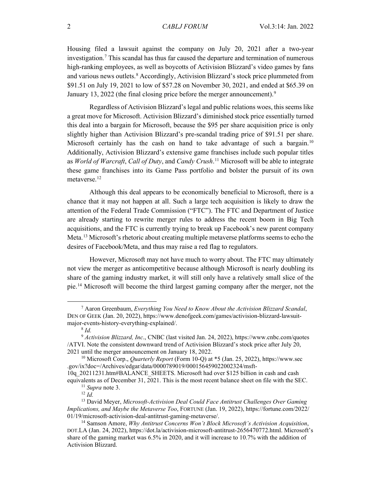Housing filed a lawsuit against the company on July 20, 2021 after a two-year investigation.[7](#page-1-0) This scandal has thus far caused the departure and termination of numerous high-ranking employees, as well as boycotts of Activision Blizzard's video games by fans and various news outlets.<sup>[8](#page-1-1)</sup> Accordingly, Activision Blizzard's stock price plummeted from \$91.51 on July 19, 2021 to low of \$57.28 on November 30, 2021, and ended at \$65.39 on January 13, 2022 (the final closing price before the merger announcement).<sup>[9](#page-1-2)</sup>

Regardless of Activision Blizzard's legal and public relations woes, this seems like a great move for Microsoft. Activision Blizzard's diminished stock price essentially turned this deal into a bargain for Microsoft, because the \$95 per share acquisition price is only slightly higher than Activision Blizzard's pre-scandal trading price of \$91.51 per share. Microsoft certainly has the cash on hand to take advantage of such a bargain.<sup>[10](#page-1-3)</sup> Additionally, Activision Blizzard's extensive game franchises include such popular titles as *World of Warcraft*, *Call of Duty*, and *Candy Crush*. [11](#page-1-4) Microsoft will be able to integrate these game franchises into its Game Pass portfolio and bolster the pursuit of its own metaverse.<sup>[12](#page-1-5)</sup>

Although this deal appears to be economically beneficial to Microsoft, there is a chance that it may not happen at all. Such a large tech acquisition is likely to draw the attention of the Federal Trade Commission ("FTC"). The FTC and Department of Justice are already starting to rewrite merger rules to address the recent boom in Big Tech acquisitions, and the FTC is currently trying to break up Facebook's new parent company Meta.<sup>[13](#page-1-6)</sup> Microsoft's rhetoric about creating multiple metaverse platforms seems to echo the desires of Facebook/Meta, and thus may raise a red flag to regulators.

However, Microsoft may not have much to worry about. The FTC may ultimately not view the merger as anticompetitive because although Microsoft is nearly doubling its share of the gaming industry market, it will still only have a relatively small slice of the pie.[14](#page-1-7) Microsoft will become the third largest gaming company after the merger, not the

<span id="page-1-0"></span><sup>7</sup> Aaron Greenbaum, *Everything You Need to Know About the Activision Blizzard Scandal*, DEN OF GEEK (Jan. 20, 2022), https://www.denofgeek.com/games/activision-blizzard-lawsuitmajor-events-history-everything-explained/.

<sup>8</sup> *Id.*

<span id="page-1-2"></span><span id="page-1-1"></span><sup>9</sup> *Activision Blizzard, Inc*., CNBC (last visited Jan. 24, 2022), https://www.cnbc.com/quotes /ATVI. Note the consistent downward trend of Activision Blizzard's stock price after July 20, 2021 until the merger announcement on January 18, 2022.

<span id="page-1-3"></span><sup>10</sup> Microsoft Corp., *Quarterly Report* (Form 10-Q) at \*5 (Jan. 25, 2022), https://www.sec .gov/ix?doc=/Archives/edgar/data/0000789019/000156459022002324/msft-

<sup>10</sup>q\_20211231.htm#BALANCE\_SHEETS. Microsoft had over \$125 billion in cash and cash equivalents as of December 31, 2021. This is the most recent balance sheet on file with the SEC.

<sup>11</sup> *Supra* note 3.

<sup>12</sup> *Id.*

<span id="page-1-6"></span><span id="page-1-5"></span><span id="page-1-4"></span><sup>13</sup> David Meyer, *Microsoft-Activision Deal Could Face Antitrust Challenges Over Gaming Implications, and Maybe the Metaverse Too*, FORTUNE (Jan. 19, 2022), https://fortune.com/2022/ 01/19/microsoft-activision-deal-antitrust-gaming-metaverse/.

<span id="page-1-7"></span><sup>14</sup> Samson Amore, *Why Antitrust Concerns Won't Block Microsoft's Activision Acquisition*, DOT.LA (Jan. 24, 2022), https://dot.la/activision-microsoft-antitrust-2656470772.html. Microsoft's share of the gaming market was 6.5% in 2020, and it will increase to 10.7% with the addition of Activision Blizzard.